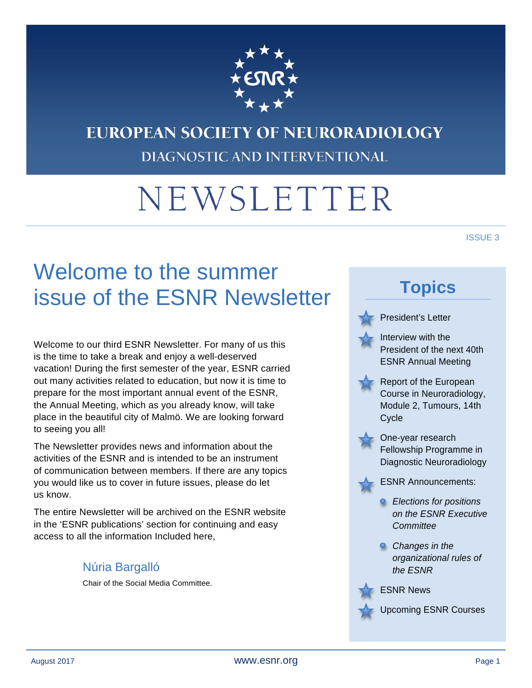

# **EUROPEAN SOCIETY OF NEURORADIOLOGY DIAGNOSTIC AND INTERVENTIONAL**

# NEWSLETTER

### ISSUE 3

# Welcome to the summer issue of the ESNR Newsletter

Welcome to our third ESNR Newsletter. For many of us this is the time to take a break and enjoy a well-deserved vacation! During the first semester of the year, ESNR carried out many activities related to education, but now it is time to prepare for the most important annual event of the ESNR, the Annual Meeting, which as you already know, will take place in the beautiful city of Malmö. We are looking forward to seeing you all!

The Newsletter provides news and information about the activities of the ESNR and is intended to be an instrument of communication between members. If there are any topics you would like us to cover in future issues, please do let us know.

The entire Newsletter will be archived on the ESNR website in the 'ESNR publications' section for continuing and easy access to all the information Included here,

#### Núria Bargalló

Chair of the Social Media Committee.

# **Topics**



President's Letter

Interview with the President of the next 40th ESNR Annual Meeting



Report of the European Course in Neuroradiology, Module 2, Tumours, 14th **Cycle** 



- One-year research Fellowship Programme in Diagnostic Neuroradiology
- ESNR Announcements:
	- *Elections for positions on the ESNR Executive Committee*
	- *Changes in the organizational rules of the ESNR*



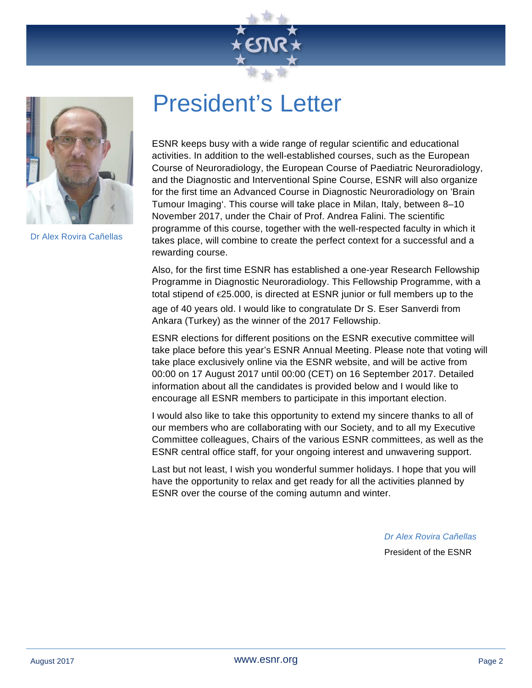



Dr Alex Rovira Cañellas

# President's Letter

ESNR keeps busy with a wide range of regular scientific and educational activities. In addition to the well-established courses, such as the European Course of Neuroradiology, the European Course of Paediatric Neuroradiology, and the Diagnostic and Interventional Spine Course, ESNR will also organize for the first time an Advanced Course in Diagnostic Neuroradiology on 'Brain Tumour Imaging'. This course will take place in Milan, Italy, between 8–10 November 2017, under the Chair of Prof. Andrea Falini. The scientific programme of this course, together with the well-respected faculty in which it takes place, will combine to create the perfect context for a successful and a rewarding course.

Also, for the first time ESNR has established a one-year Research Fellowship Programme in Diagnostic Neuroradiology. This Fellowship Programme, with a total stipend of €25.000, is directed at ESNR junior or full members up to the age of 40 years old. I would like to congratulate Dr S. Eser Sanverdi from Ankara (Turkey) as the winner of the 2017 Fellowship.

ESNR elections for different positions on the ESNR executive committee will take place before this year's ESNR Annual Meeting. Please note that voting will take place exclusively online via the ESNR website, and will be active from 00:00 on 17 August 2017 until 00:00 (CET) on 16 September 2017. Detailed information about all the candidates is provided below and I would like to encourage all ESNR members to participate in this important election.

I would also like to take this opportunity to extend my sincere thanks to all of our members who are collaborating with our Society, and to all my Executive Committee colleagues, Chairs of the various ESNR committees, as well as the ESNR central office staff, for your ongoing interest and unwavering support.

Last but not least, I wish you wonderful summer holidays. I hope that you will have the opportunity to relax and get ready for all the activities planned by ESNR over the course of the coming autumn and winter.

*Dr Alex Rovira Cañellas*

President of the ESNR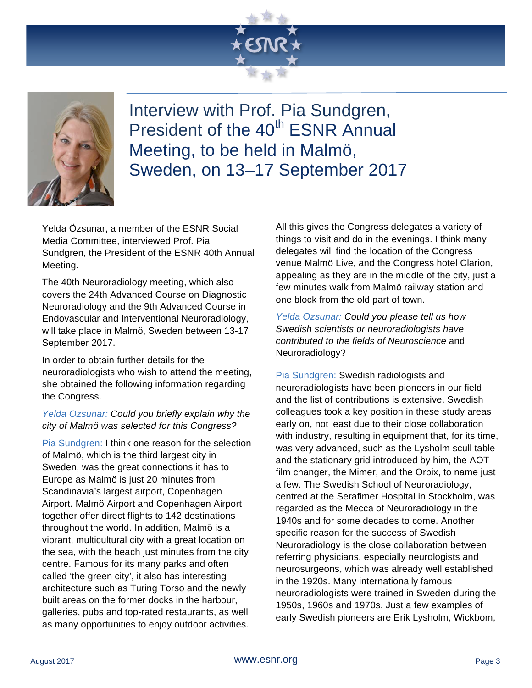



Interview with Prof. Pia Sundgren, President of the 40<sup>th</sup> ESNR Annual Meeting, to be held in Malmö, Sweden, on 13–17 September 2017

Yelda Özsunar, a member of the ESNR Social Media Committee, interviewed Prof. Pia Sundgren, the President of the ESNR 40th Annual Meeting.

The 40th Neuroradiology meeting, which also covers the 24th Advanced Course on Diagnostic Neuroradiology and the 9th Advanced Course in Endovascular and Interventional Neuroradiology, will take place in Malmö, Sweden between 13-17 September 2017.

In order to obtain further details for the neuroradiologists who wish to attend the meeting, she obtained the following information regarding the Congress.

#### *Yelda Ozsunar: Could you briefly explain why the city of Malmö was selected for this Congress?*

Pia Sundgren: I think one reason for the selection of Malmö, which is the third largest city in Sweden, was the great connections it has to Europe as Malmö is just 20 minutes from Scandinavia's largest airport, Copenhagen Airport. Malmö Airport and Copenhagen Airport together offer direct flights to 142 destinations throughout the world. In addition, Malmö is a vibrant, multicultural city with a great location on the sea, with the beach just minutes from the city centre. Famous for its many parks and often called 'the green city', it also has interesting architecture such as Turing Torso and the newly built areas on the former docks in the harbour, galleries, pubs and top-rated restaurants, as well as many opportunities to enjoy outdoor activities.

All this gives the Congress delegates a variety of things to visit and do in the evenings. I think many delegates will find the location of the Congress venue Malmö Live, and the Congress hotel Clarion, appealing as they are in the middle of the city, just a few minutes walk from Malmö railway station and one block from the old part of town.

*Yelda Ozsunar: Could you please tell us how Swedish scientists or neuroradiologists have contributed to the fields of Neuroscience* and Neuroradiology?

Pia Sundgren: Swedish radiologists and neuroradiologists have been pioneers in our field and the list of contributions is extensive. Swedish colleagues took a key position in these study areas early on, not least due to their close collaboration with industry, resulting in equipment that, for its time, was very advanced, such as the Lysholm scull table and the stationary grid introduced by him, the AOT film changer, the Mimer, and the Orbix, to name just a few. The Swedish School of Neuroradiology, centred at the Serafimer Hospital in Stockholm, was regarded as the Mecca of Neuroradiology in the 1940s and for some decades to come. Another specific reason for the success of Swedish Neuroradiology is the close collaboration between referring physicians, especially neurologists and neurosurgeons, which was already well established in the 1920s. Many internationally famous neuroradiologists were trained in Sweden during the 1950s, 1960s and 1970s. Just a few examples of early Swedish pioneers are Erik Lysholm, Wickbom,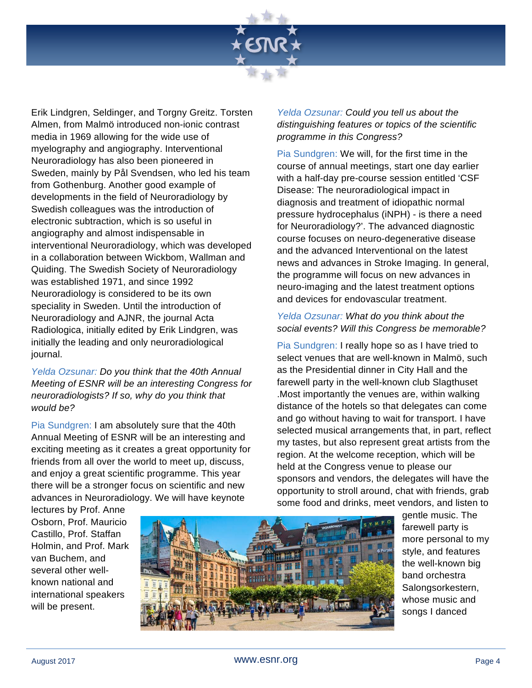

Erik Lindgren, Seldinger, and Torgny Greitz. Torsten Almen, from Malmö introduced non-ionic contrast media in 1969 allowing for the wide use of myelography and angiography. Interventional Neuroradiology has also been pioneered in Sweden, mainly by Pål Svendsen, who led his team from Gothenburg. Another good example of developments in the field of Neuroradiology by Swedish colleagues was the introduction of electronic subtraction, which is so useful in angiography and almost indispensable in interventional Neuroradiology, which was developed in a collaboration between Wickbom, Wallman and Quiding. The Swedish Society of Neuroradiology was established 1971, and since 1992 Neuroradiology is considered to be its own speciality in Sweden. Until the introduction of Neuroradiology and AJNR, the journal Acta Radiologica, initially edited by Erik Lindgren, was initially the leading and only neuroradiological journal.

*Yelda Ozsunar: Do you think that the 40th Annual Meeting of ESNR will be an interesting Congress for neuroradiologists? If so, why do you think that would be?*

Pia Sundgren: I am absolutely sure that the 40th Annual Meeting of ESNR will be an interesting and exciting meeting as it creates a great opportunity for friends from all over the world to meet up, discuss, and enjoy a great scientific programme. This year there will be a stronger focus on scientific and new advances in Neuroradiology. We will have keynote

*Yelda Ozsunar: Could you tell us about the distinguishing features or topics of the scientific programme in this Congress?*

Pia Sundgren: We will, for the first time in the course of annual meetings, start one day earlier with a half-day pre-course session entitled 'CSF Disease: The neuroradiological impact in diagnosis and treatment of idiopathic normal pressure hydrocephalus (iNPH) - is there a need for Neuroradiology?'. The advanced diagnostic course focuses on neuro-degenerative disease and the advanced Interventional on the latest news and advances in Stroke Imaging. In general, the programme will focus on new advances in neuro-imaging and the latest treatment options and devices for endovascular treatment.

#### *Yelda Ozsunar: What do you think about the social events? Will this Congress be memorable?*

Pia Sundgren: I really hope so as I have tried to select venues that are well-known in Malmö, such as the Presidential dinner in City Hall and the farewell party in the well-known club Slagthuset .Most importantly the venues are, within walking distance of the hotels so that delegates can come and go without having to wait for transport. I have selected musical arrangements that, in part, reflect my tastes, but also represent great artists from the region. At the welcome reception, which will be held at the Congress venue to please our sponsors and vendors, the delegates will have the opportunity to stroll around, chat with friends, grab some food and drinks, meet vendors, and listen to

lectures by Prof. Anne Osborn, Prof. Mauricio Castillo, Prof. Staffan Holmin, and Prof. Mark van Buchem, and several other wellknown national and international speakers will be present.



gentle music. The farewell party is more personal to my style, and features the well-known big band orchestra Salongsorkestern, whose music and songs I danced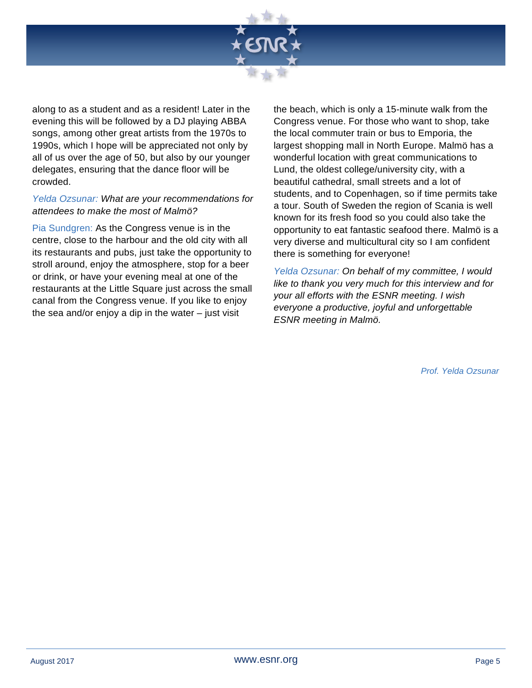

along to as a student and as a resident! Later in the evening this will be followed by a DJ playing ABBA songs, among other great artists from the 1970s to 1990s, which I hope will be appreciated not only by all of us over the age of 50, but also by our younger delegates, ensuring that the dance floor will be crowded.

#### *Yelda Ozsunar: What are your recommendations for attendees to make the most of Malmö?*

Pia Sundgren: As the Congress venue is in the centre, close to the harbour and the old city with all its restaurants and pubs, just take the opportunity to stroll around, enjoy the atmosphere, stop for a beer or drink, or have your evening meal at one of the restaurants at the Little Square just across the small canal from the Congress venue. If you like to enjoy the sea and/or enjoy a dip in the water – just visit

the beach, which is only a 15-minute walk from the Congress venue. For those who want to shop, take the local commuter train or bus to Emporia, the largest shopping mall in North Europe. Malmö has a wonderful location with great communications to Lund, the oldest college/university city, with a beautiful cathedral, small streets and a lot of students, and to Copenhagen, so if time permits take a tour. South of Sweden the region of Scania is well known for its fresh food so you could also take the opportunity to eat fantastic seafood there. Malmö is a very diverse and multicultural city so I am confident there is something for everyone!

*Yelda Ozsunar: On behalf of my committee, I would like to thank you very much for this interview and for your all efforts with the ESNR meeting. I wish everyone a productive, joyful and unforgettable ESNR meeting in Malmö.*

*Prof. Yelda Ozsunar*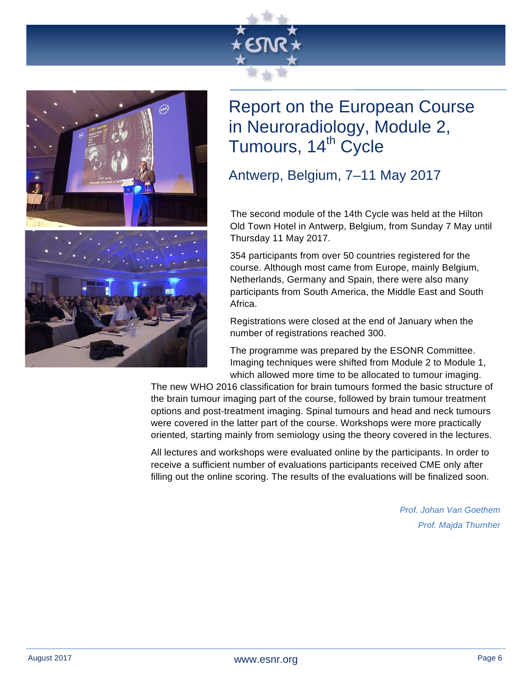



### Report on the European Course in Neuroradiology, Module 2, Tumours, 14<sup>th</sup> Cycle

Antwerp, Belgium, 7–11 May 2017

 The second module of the 14th Cycle was held at the Hilton Old Town Hotel in Antwerp, Belgium, from Sunday 7 May until Thursday 11 May 2017.

354 participants from over 50 countries registered for the course. Although most came from Europe, mainly Belgium, Netherlands, Germany and Spain, there were also many participants from South America, the Middle East and South Africa.

Registrations were closed at the end of January when the number of registrations reached 300.

The programme was prepared by the ESONR Committee. Imaging techniques were shifted from Module 2 to Module 1, which allowed more time to be allocated to tumour imaging.

The new WHO 2016 classification for brain tumours formed the basic structure of the brain tumour imaging part of the course, followed by brain tumour treatment options and post-treatment imaging. Spinal tumours and head and neck tumours were covered in the latter part of the course. Workshops were more practically oriented, starting mainly from semiology using the theory covered in the lectures.

All lectures and workshops were evaluated online by the participants. In order to receive a sufficient number of evaluations participants received CME only after filling out the online scoring. The results of the evaluations will be finalized soon.

> *Prof. Johan Van Goethem Prof. Majda Thurnher*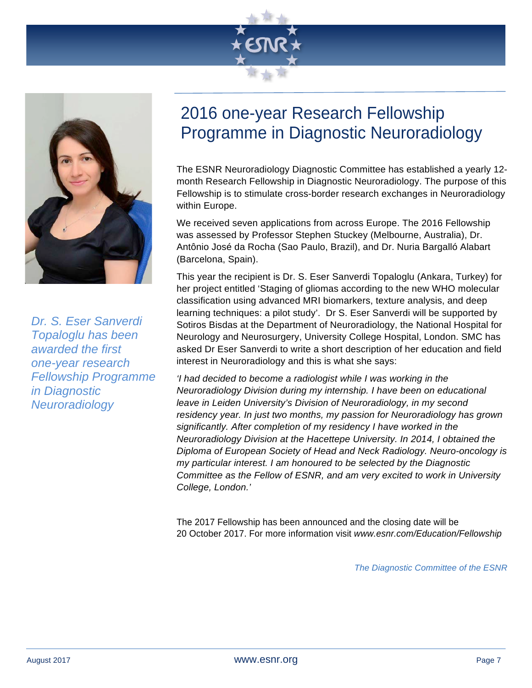



*Dr. S. Eser Sanverdi Topaloglu has been awarded the first one-year research Fellowship Programme in Diagnostic Neuroradiology*

### 2016 one-year Research Fellowship Programme in Diagnostic Neuroradiology

The ESNR Neuroradiology Diagnostic Committee has established a yearly 12 month Research Fellowship in Diagnostic Neuroradiology. The purpose of this Fellowship is to stimulate cross-border research exchanges in Neuroradiology within Europe.

We received seven applications from across Europe. The 2016 Fellowship was assessed by Professor Stephen Stuckey (Melbourne, Australia), Dr. Antônio José da Rocha (Sao Paulo, Brazil), and Dr. Nuria Bargalló Alabart (Barcelona, Spain).

This year the recipient is Dr. S. Eser Sanverdi Topaloglu (Ankara, Turkey) for her project entitled 'Staging of gliomas according to the new WHO molecular classification using advanced MRI biomarkers, texture analysis, and deep learning techniques: a pilot study'. Dr S. Eser Sanverdi will be supported by Sotiros Bisdas at the Department of Neuroradiology, the National Hospital for Neurology and Neurosurgery, University College Hospital, London. SMC has asked Dr Eser Sanverdi to write a short description of her education and field interest in Neuroradiology and this is what she says:

*'I had decided to become a radiologist while I was working in the Neuroradiology Division during my internship. I have been on educational leave in Leiden University's Division of Neuroradiology, in my second residency year. In just two months, my passion for Neuroradiology has grown significantly. After completion of my residency I have worked in the Neuroradiology Division at the Hacettepe University. In 2014, I obtained the Diploma of European Society of Head and Neck Radiology. Neuro-oncology is my particular interest. I am honoured to be selected by the Diagnostic Committee as the Fellow of ESNR, and am very excited to work in University College, London.'* 

The 2017 Fellowship has been announced and the closing date will be 20 October 2017. For more information visit *www.esnr.com/Education/Fellowship*

*The Diagnostic Committee of the ESNR*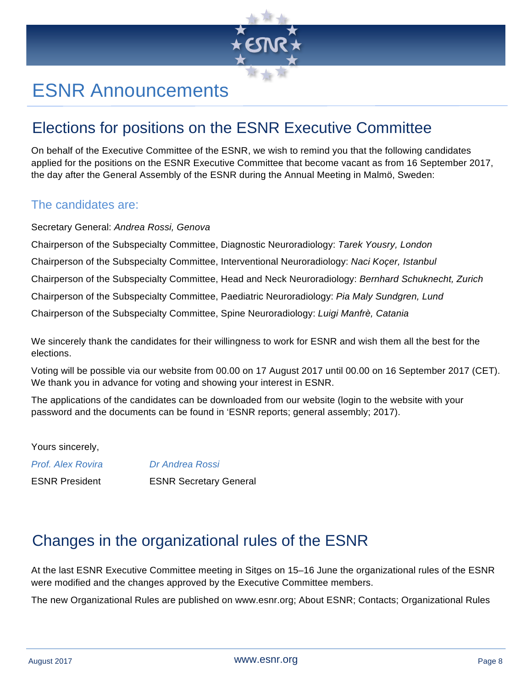

# ESNR Announcements

### Elections for positions on the ESNR Executive Committee

On behalf of the Executive Committee of the ESNR, we wish to remind you that the following candidates applied for the positions on the ESNR Executive Committee that become vacant as from 16 September 2017, the day after the General Assembly of the ESNR during the Annual Meeting in Malmö, Sweden:

#### The candidates are:

Secretary General: *Andrea Rossi, Genova*

Chairperson of the Subspecialty Committee, Diagnostic Neuroradiology: *Tarek Yousry, London* Chairperson of the Subspecialty Committee, Interventional Neuroradiology: *Naci Koçer, Istanbul* Chairperson of the Subspecialty Committee, Head and Neck Neuroradiology: *Bernhard Schuknecht, Zurich* Chairperson of the Subspecialty Committee, Paediatric Neuroradiology: *Pia Maly Sundgren, Lund* Chairperson of the Subspecialty Committee, Spine Neuroradiology: *Luigi Manfrè, Catania*

We sincerely thank the candidates for their willingness to work for ESNR and wish them all the best for the elections.

Voting will be possible via our website from 00.00 on 17 August 2017 until 00.00 on 16 September 2017 (CET). We thank you in advance for voting and showing your interest in ESNR.

The applications of the candidates can be downloaded from our website (login to the website with your password and the documents can be found in 'ESNR reports; general assembly; 2017).

Yours sincerely,

*Prof. Alex Rovira Dr Andrea Rossi*

ESNR President ESNR Secretary General

### Changes in the organizational rules of the ESNR

At the last ESNR Executive Committee meeting in Sitges on 15–16 June the organizational rules of the ESNR were modified and the changes approved by the Executive Committee members.

The new Organizational Rules are published on www.esnr.org; About ESNR; Contacts; Organizational Rules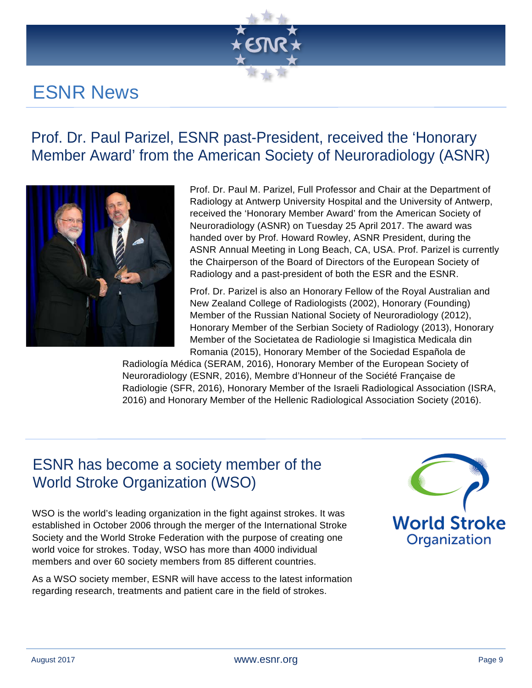

# ESNR News

### Prof. Dr. Paul Parizel, ESNR past-President, received the 'Honorary Member Award' from the American Society of Neuroradiology (ASNR)



Prof. Dr. Paul M. Parizel, Full Professor and Chair at the Department of Radiology at Antwerp University Hospital and the University of Antwerp, received the 'Honorary Member Award' from the American Society of Neuroradiology (ASNR) on Tuesday 25 April 2017. The award was handed over by Prof. Howard Rowley, ASNR President, during the ASNR Annual Meeting in Long Beach, CA, USA. Prof. Parizel is currently the Chairperson of the Board of Directors of the European Society of Radiology and a past-president of both the ESR and the ESNR.

Prof. Dr. Parizel is also an Honorary Fellow of the Royal Australian and New Zealand College of Radiologists (2002), Honorary (Founding) Member of the Russian National Society of Neuroradiology (2012), Honorary Member of the Serbian Society of Radiology (2013), Honorary Member of the Societatea de Radiologie si Imagistica Medicala din Romania (2015), Honorary Member of the Sociedad Española de

Radiología Médica (SERAM, 2016), Honorary Member of the European Society of Neuroradiology (ESNR, 2016), Membre d'Honneur of the Société Française de Radiologie (SFR, 2016), Honorary Member of the Israeli Radiological Association (ISRA, 2016) and Honorary Member of the Hellenic Radiological Association Society (2016).

### ESNR has become a society member of the World Stroke Organization (WSO)

WSO is the world's leading organization in the fight against strokes. It was established in October 2006 through the merger of the International Stroke Society and the World Stroke Federation with the purpose of creating one world voice for strokes. Today, WSO has more than 4000 individual members and over 60 society members from 85 different countries.

As a WSO society member, ESNR will have access to the latest information regarding research, treatments and patient care in the field of strokes.